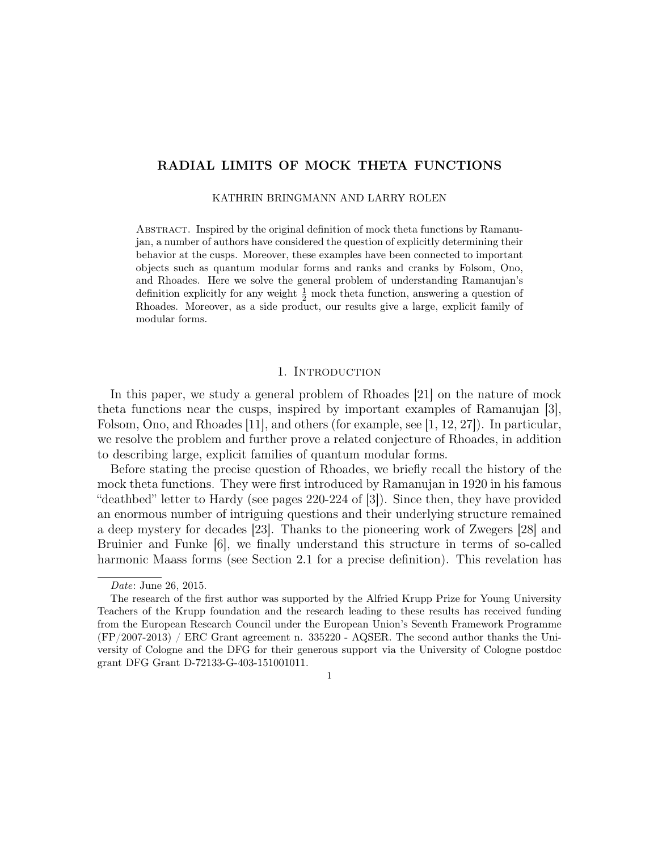# RADIAL LIMITS OF MOCK THETA FUNCTIONS

KATHRIN BRINGMANN AND LARRY ROLEN

Abstract. Inspired by the original definition of mock theta functions by Ramanujan, a number of authors have considered the question of explicitly determining their behavior at the cusps. Moreover, these examples have been connected to important objects such as quantum modular forms and ranks and cranks by Folsom, Ono, and Rhoades. Here we solve the general problem of understanding Ramanujan's definition explicitly for any weight  $\frac{1}{2}$  mock theta function, answering a question of Rhoades. Moreover, as a side product, our results give a large, explicit family of modular forms.

# 1. Introduction

In this paper, we study a general problem of Rhoades [21] on the nature of mock theta functions near the cusps, inspired by important examples of Ramanujan [3], Folsom, Ono, and Rhoades [11], and others (for example, see [1, 12, 27]). In particular, we resolve the problem and further prove a related conjecture of Rhoades, in addition to describing large, explicit families of quantum modular forms.

Before stating the precise question of Rhoades, we briefly recall the history of the mock theta functions. They were first introduced by Ramanujan in 1920 in his famous "deathbed" letter to Hardy (see pages 220-224 of [3]). Since then, they have provided an enormous number of intriguing questions and their underlying structure remained a deep mystery for decades [23]. Thanks to the pioneering work of Zwegers [28] and Bruinier and Funke [6], we finally understand this structure in terms of so-called harmonic Maass forms (see Section 2.1 for a precise definition). This revelation has

1

Date: June 26, 2015.

The research of the first author was supported by the Alfried Krupp Prize for Young University Teachers of the Krupp foundation and the research leading to these results has received funding from the European Research Council under the European Union's Seventh Framework Programme (FP/2007-2013) / ERC Grant agreement n. 335220 - AQSER. The second author thanks the University of Cologne and the DFG for their generous support via the University of Cologne postdoc grant DFG Grant D-72133-G-403-151001011.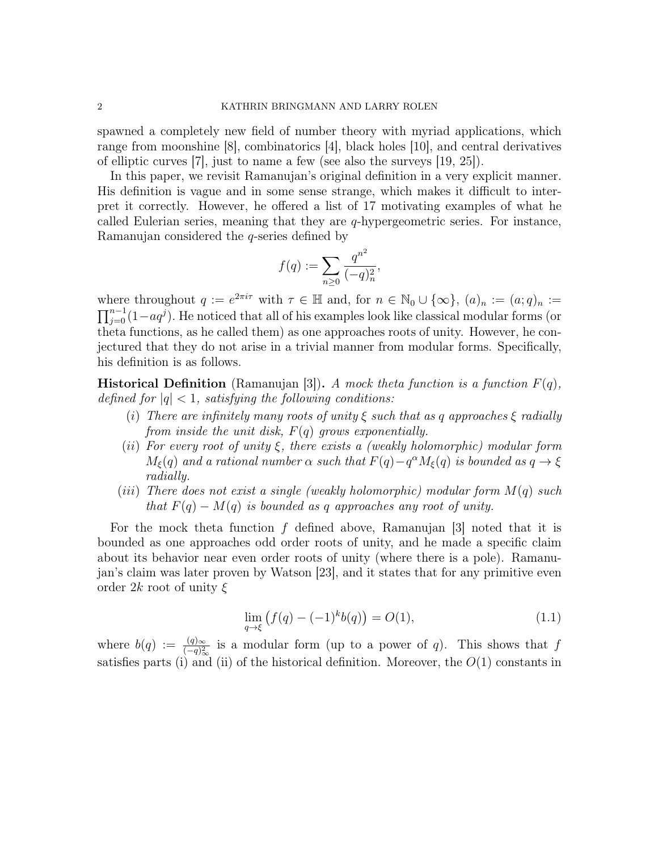spawned a completely new field of number theory with myriad applications, which range from moonshine [8], combinatorics [4], black holes [10], and central derivatives of elliptic curves [7], just to name a few (see also the surveys [19, 25]).

In this paper, we revisit Ramanujan's original definition in a very explicit manner. His definition is vague and in some sense strange, which makes it difficult to interpret it correctly. However, he offered a list of 17 motivating examples of what he called Eulerian series, meaning that they are  $q$ -hypergeometric series. For instance, Ramanujan considered the q-series defined by

$$
f(q) := \sum_{n \geq 0} \frac{q^{n^2}}{(-q)_n^2},
$$

where throughout  $q := e^{2\pi i \tau}$  with  $\tau \in \mathbb{H}$  and, for  $n \in \mathbb{N}_0 \cup \{\infty\}$ ,  $(a)_n := (a;q)_n :=$  $\prod_{j=0}^{n-1}(1-aq^j)$ . He noticed that all of his examples look like classical modular forms (or theta functions, as he called them) as one approaches roots of unity. However, he conjectured that they do not arise in a trivial manner from modular forms. Specifically, his definition is as follows.

**Historical Definition** (Ramanujan [3]). A mock theta function is a function  $F(q)$ , defined for  $|q| < 1$ , satisfying the following conditions:

- (i) There are infinitely many roots of unity  $\xi$  such that as q approaches  $\xi$  radially from inside the unit disk,  $F(q)$  grows exponentially.
- (ii) For every root of unity  $\xi$ , there exists a (weakly holomorphic) modular form  $M_{\xi}(q)$  and a rational number  $\alpha$  such that  $F(q) - q^{\alpha} M_{\xi}(q)$  is bounded as  $q \to \xi$ radially.
- (iii) There does not exist a single (weakly holomorphic) modular form  $M(q)$  such that  $F(q) - M(q)$  is bounded as q approaches any root of unity.

For the mock theta function f defined above, Ramanujan [3] noted that it is bounded as one approaches odd order roots of unity, and he made a specific claim about its behavior near even order roots of unity (where there is a pole). Ramanujan's claim was later proven by Watson [23], and it states that for any primitive even order 2k root of unity  $\xi$ 

$$
\lim_{q \to \xi} \left( f(q) - (-1)^k b(q) \right) = O(1),\tag{1.1}
$$

where  $b(q) := \frac{(q)_{\infty}}{(-q)_{\infty}^2}$  is a modular form (up to a power of q). This shows that f satisfies parts (i) and (ii) of the historical definition. Moreover, the  $O(1)$  constants in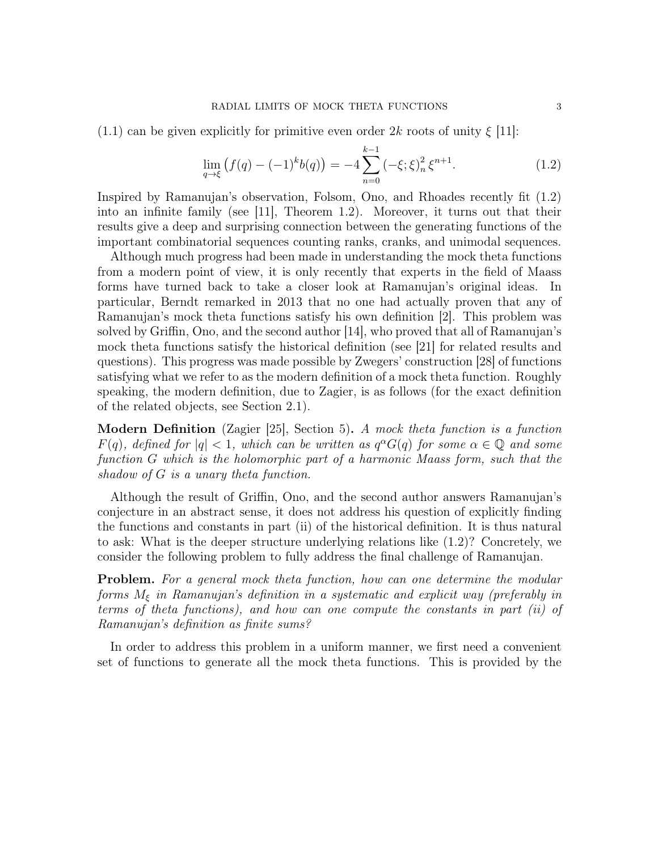(1.1) can be given explicitly for primitive even order  $2k$  roots of unity  $\xi$  [11]:

$$
\lim_{q \to \xi} \left( f(q) - (-1)^k b(q) \right) = -4 \sum_{n=0}^{k-1} \left( -\xi; \xi \right)_n^2 \xi^{n+1}.
$$
\n(1.2)

Inspired by Ramanujan's observation, Folsom, Ono, and Rhoades recently fit (1.2) into an infinite family (see [11], Theorem 1.2). Moreover, it turns out that their results give a deep and surprising connection between the generating functions of the important combinatorial sequences counting ranks, cranks, and unimodal sequences.

Although much progress had been made in understanding the mock theta functions from a modern point of view, it is only recently that experts in the field of Maass forms have turned back to take a closer look at Ramanujan's original ideas. In particular, Berndt remarked in 2013 that no one had actually proven that any of Ramanujan's mock theta functions satisfy his own definition [2]. This problem was solved by Griffin, Ono, and the second author [14], who proved that all of Ramanujan's mock theta functions satisfy the historical definition (see [21] for related results and questions). This progress was made possible by Zwegers' construction [28] of functions satisfying what we refer to as the modern definition of a mock theta function. Roughly speaking, the modern definition, due to Zagier, is as follows (for the exact definition of the related objects, see Section 2.1).

Modern Definition (Zagier [25], Section 5). A mock theta function is a function  $F(q)$ , defined for  $|q| < 1$ , which can be written as  $q^{\alpha}G(q)$  for some  $\alpha \in \mathbb{Q}$  and some function G which is the holomorphic part of a harmonic Maass form, such that the shadow of G is a unary theta function.

Although the result of Griffin, Ono, and the second author answers Ramanujan's conjecture in an abstract sense, it does not address his question of explicitly finding the functions and constants in part (ii) of the historical definition. It is thus natural to ask: What is the deeper structure underlying relations like (1.2)? Concretely, we consider the following problem to fully address the final challenge of Ramanujan.

Problem. For a general mock theta function, how can one determine the modular forms  $M_{\xi}$  in Ramanujan's definition in a systematic and explicit way (preferably in terms of theta functions), and how can one compute the constants in part (ii) of Ramanujan's definition as finite sums?

In order to address this problem in a uniform manner, we first need a convenient set of functions to generate all the mock theta functions. This is provided by the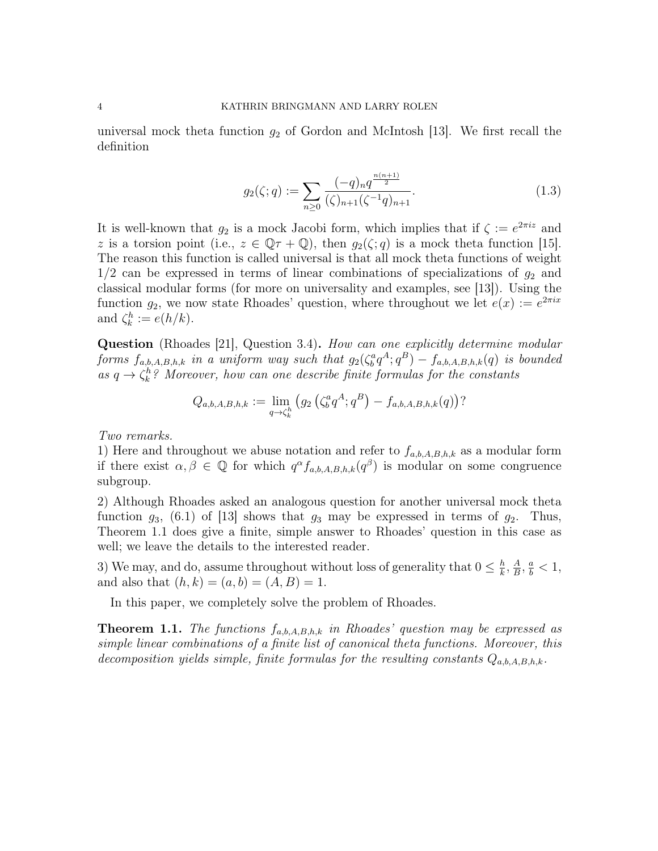universal mock theta function  $g_2$  of Gordon and McIntosh [13]. We first recall the definition

$$
g_2(\zeta;q) := \sum_{n\geq 0} \frac{(-q)_n q^{\frac{n(n+1)}{2}}}{(\zeta)_{n+1}(\zeta^{-1}q)_{n+1}}.
$$
\n(1.3)

It is well-known that  $g_2$  is a mock Jacobi form, which implies that if  $\zeta := e^{2\pi i z}$  and z is a torsion point (i.e.,  $z \in \mathbb{Q}\tau + \mathbb{Q}$ ), then  $g_2(\zeta; q)$  is a mock theta function [15]. The reason this function is called universal is that all mock theta functions of weight  $1/2$  can be expressed in terms of linear combinations of specializations of  $g_2$  and classical modular forms (for more on universality and examples, see [13]). Using the function  $g_2$ , we now state Rhoades' question, where throughout we let  $e(x) := e^{2\pi i x}$ and  $\zeta_k^h := e(h/k)$ .

Question (Rhoades [21], Question 3.4). How can one explicitly determine modular forms  $f_{a,b,A,B,h,k}$  in a uniform way such that  $g_2(\zeta_b^a q^A; q^B) - f_{a,b,A,B,h,k}(q)$  is bounded as  $q \to \zeta_k^h$ ? Moreover, how can one describe finite formulas for the constants

$$
Q_{a,b,A,B,h,k} := \lim_{q \to \zeta_k^h} \left( g_2 \left( \zeta_b^a q^A; q^B \right) - f_{a,b,A,B,h,k}(q) \right)
$$

Two remarks.

1) Here and throughout we abuse notation and refer to  $f_{a,b,A,B,h,k}$  as a modular form if there exist  $\alpha, \beta \in \mathbb{Q}$  for which  $q^{\alpha} f_{a,b,A,B,h,k}(q^{\beta})$  is modular on some congruence subgroup.

2) Although Rhoades asked an analogous question for another universal mock theta function  $g_3$ , (6.1) of [13] shows that  $g_3$  may be expressed in terms of  $g_2$ . Thus, Theorem 1.1 does give a finite, simple answer to Rhoades' question in this case as well; we leave the details to the interested reader.

3) We may, and do, assume throughout without loss of generality that  $0 \leq \frac{h}{k}$  $\frac{h}{k}, \frac{A}{B}$  $\frac{A}{B}, \frac{a}{b} < 1,$ and also that  $(h, k) = (a, b) = (A, B) = 1$ .

In this paper, we completely solve the problem of Rhoades.

**Theorem 1.1.** The functions  $f_{a,b,A,B,h,k}$  in Rhoades' question may be expressed as simple linear combinations of a finite list of canonical theta functions. Moreover, this decomposition yields simple, finite formulas for the resulting constants  $Q_{a,b,A,B,h,k}$ .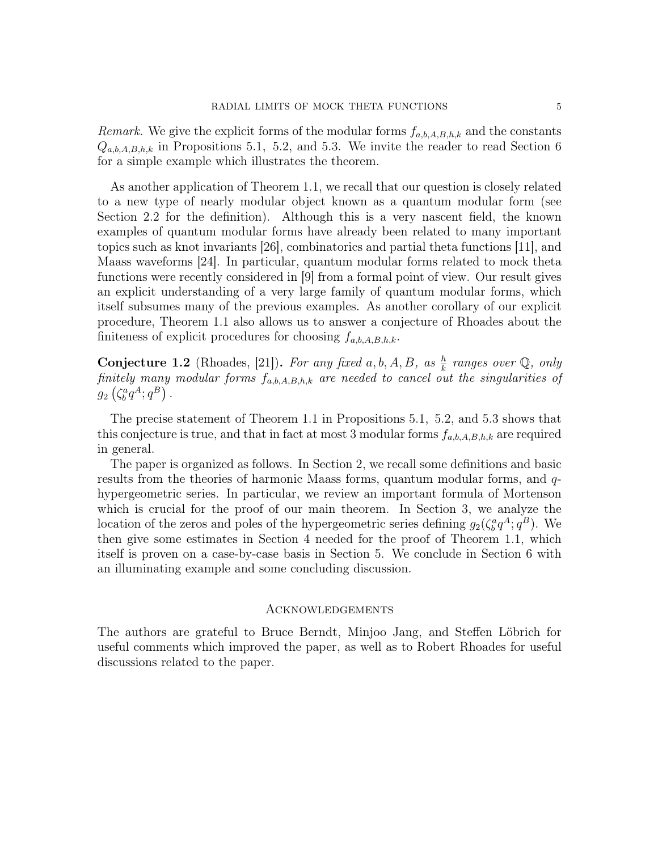*Remark.* We give the explicit forms of the modular forms  $f_{a,b,A,B,h,k}$  and the constants  $Q_{a,b,A,B,h,k}$  in Propositions 5.1, 5.2, and 5.3. We invite the reader to read Section 6 for a simple example which illustrates the theorem.

As another application of Theorem 1.1, we recall that our question is closely related to a new type of nearly modular object known as a quantum modular form (see Section 2.2 for the definition). Although this is a very nascent field, the known examples of quantum modular forms have already been related to many important topics such as knot invariants [26], combinatorics and partial theta functions [11], and Maass waveforms [24]. In particular, quantum modular forms related to mock theta functions were recently considered in [9] from a formal point of view. Our result gives an explicit understanding of a very large family of quantum modular forms, which itself subsumes many of the previous examples. As another corollary of our explicit procedure, Theorem 1.1 also allows us to answer a conjecture of Rhoades about the finiteness of explicit procedures for choosing  $f_{a,b,A,B,h,k}$ .

**Conjecture 1.2** (Rhoades, [21]). For any fixed a, b, A, B, as  $\frac{h}{k}$  ranges over  $\mathbb{Q}$ , only finitely many modular forms  $f_{a,b,A,B,h,k}$  are needed to cancel out the singularities of  $g_2\left(\zeta_b^a q^A;q^B\right)$ .

The precise statement of Theorem 1.1 in Propositions 5.1, 5.2, and 5.3 shows that this conjecture is true, and that in fact at most 3 modular forms  $f_{a,b,A,B,h,k}$  are required in general.

The paper is organized as follows. In Section 2, we recall some definitions and basic results from the theories of harmonic Maass forms, quantum modular forms, and qhypergeometric series. In particular, we review an important formula of Mortenson which is crucial for the proof of our main theorem. In Section 3, we analyze the location of the zeros and poles of the hypergeometric series defining  $g_2(\zeta_b^a q^A; q^B)$ . We then give some estimates in Section 4 needed for the proof of Theorem 1.1, which itself is proven on a case-by-case basis in Section 5. We conclude in Section 6 with an illuminating example and some concluding discussion.

## Acknowledgements

The authors are grateful to Bruce Berndt, Minjoo Jang, and Steffen Löbrich for useful comments which improved the paper, as well as to Robert Rhoades for useful discussions related to the paper.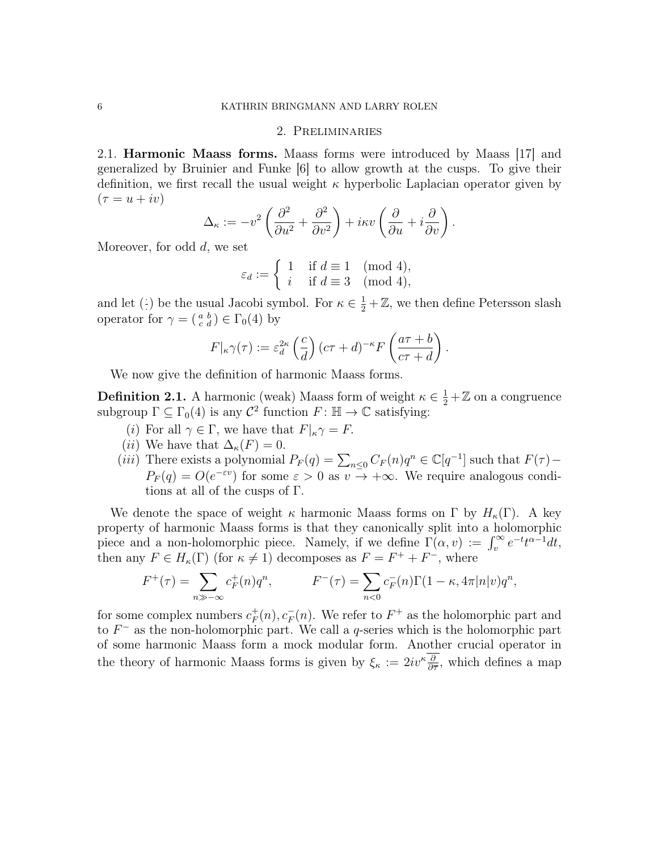#### 2. Preliminaries

2.1. Harmonic Maass forms. Maass forms were introduced by Maass [17] and generalized by Bruinier and Funke [6] to allow growth at the cusps. To give their definition, we first recall the usual weight  $\kappa$  hyperbolic Laplacian operator given by  $(\tau = u + iv)$ 

$$
\Delta_{\kappa} := -v^2 \left( \frac{\partial^2}{\partial u^2} + \frac{\partial^2}{\partial v^2} \right) + i\kappa v \left( \frac{\partial}{\partial u} + i \frac{\partial}{\partial v} \right).
$$

Moreover, for odd d, we set

$$
\varepsilon_d := \begin{cases} 1 & \text{if } d \equiv 1 \pmod{4}, \\ i & \text{if } d \equiv 3 \pmod{4}, \end{cases}
$$

and let  $($ :) be the usual Jacobi symbol. For  $\kappa \in \frac{1}{2} + \mathbb{Z}$ , we then define Petersson slash operator for  $\gamma = \begin{pmatrix} a & b \\ c & d \end{pmatrix} \in \Gamma_0(4)$  by

$$
F|_{\kappa}\gamma(\tau) := \varepsilon_d^{2\kappa} \left(\frac{c}{d}\right) (c\tau + d)^{-\kappa} F\left(\frac{a\tau + b}{c\tau + d}\right).
$$

We now give the definition of harmonic Maass forms.

**Definition 2.1.** A harmonic (weak) Maass form of weight  $\kappa \in \frac{1}{2} + \mathbb{Z}$  on a congruence subgroup  $\Gamma \subseteq \Gamma_0(4)$  is any  $\mathcal{C}^2$  function  $F: \mathbb{H} \to \mathbb{C}$  satisfying:

- (i) For all  $\gamma \in \Gamma$ , we have that  $F|_{\kappa} \gamma = F$ .
- (*ii*) We have that  $\Delta_{\kappa}(F) = 0$ .
- (iii) There exists a polynomial  $P_F(q) = \sum_{n \leq 0} C_F(n)q^n \in \mathbb{C}[q^{-1}]$  such that  $F(\tau)$  $P_F(q) = O(e^{-\varepsilon v})$  for some  $\varepsilon > 0$  as  $v \to +\infty$ . We require analogous conditions at all of the cusps of Γ.

We denote the space of weight  $\kappa$  harmonic Maass forms on  $\Gamma$  by  $H_{\kappa}(\Gamma)$ . A key property of harmonic Maass forms is that they canonically split into a holomorphic piece and a non-holomorphic piece. Namely, if we define  $\Gamma(\alpha, v) := \int_v^{\infty} e^{-t} t^{\alpha-1} dt$ , then any  $F \in H_{\kappa}(\Gamma)$  (for  $\kappa \neq 1$ ) decomposes as  $F = F^+ + F^-$ , where

$$
F^+(\tau) = \sum_{n \gg -\infty} c_F^+(n)q^n, \qquad F^-(\tau) = \sum_{n < 0} c_F^-(n)\Gamma(1 - \kappa, 4\pi|n|v)q^n,
$$

for some complex numbers  $c_F^+$  $_F^+(n), c_F^-(n)$ . We refer to  $F^+$  as the holomorphic part and to  $F^-$  as the non-holomorphic part. We call a q-series which is the holomorphic part of some harmonic Maass form a mock modular form. Another crucial operator in the theory of harmonic Maass forms is given by  $\xi_{\kappa} := 2iv^{\kappa} \frac{\partial}{\partial \overline{\tau}}$ , which defines a map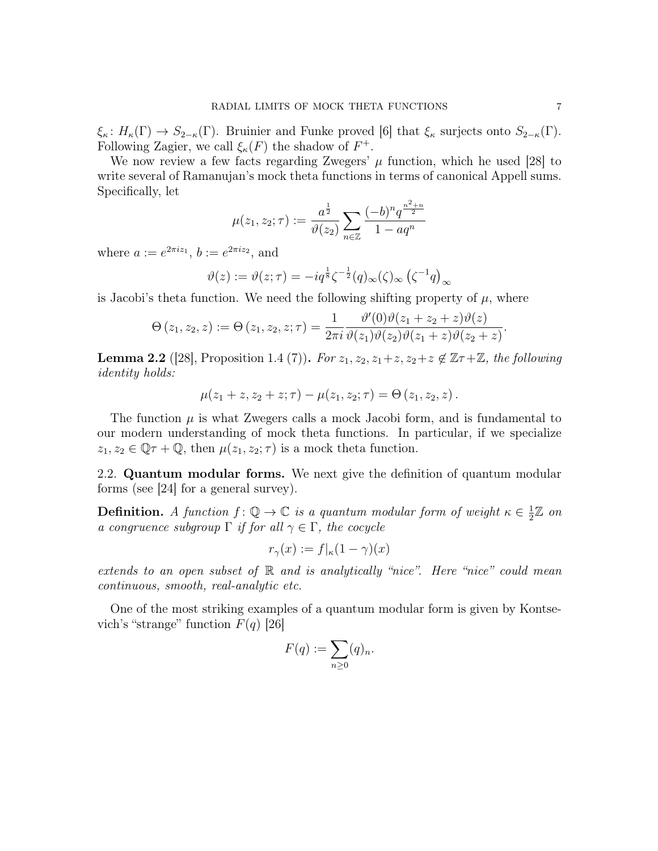$\xi_{\kappa} : H_{\kappa}(\Gamma) \to S_{2-\kappa}(\Gamma)$ . Bruinier and Funke proved [6] that  $\xi_{\kappa}$  surjects onto  $S_{2-\kappa}(\Gamma)$ . Following Zagier, we call  $\xi_{\kappa}(F)$  the shadow of  $F^+$ .

We now review a few facts regarding Zwegers'  $\mu$  function, which he used [28] to write several of Ramanujan's mock theta functions in terms of canonical Appell sums. Specifically, let

$$
\mu(z_1, z_2; \tau) := \frac{a^{\frac{1}{2}}}{\vartheta(z_2)} \sum_{n \in \mathbb{Z}} \frac{(-b)^n q^{\frac{n^2 + n}{2}}}{1 - aq^n}
$$

where  $a := e^{2\pi i z_1}, b := e^{2\pi i z_2},$  and

$$
\vartheta(z) := \vartheta(z;\tau) = -iq^{\frac{1}{8}}\zeta^{-\frac{1}{2}}(q)_{\infty}(\zeta)_{\infty}(\zeta^{-1}q)_{\infty}
$$

is Jacobi's theta function. We need the following shifting property of  $\mu$ , where

$$
\Theta(z_1, z_2, z) := \Theta(z_1, z_2, z; \tau) = \frac{1}{2\pi i} \frac{\vartheta'(0)\vartheta(z_1 + z_2 + z)\vartheta(z)}{\vartheta(z_1)\vartheta(z_2)\vartheta(z_1 + z)\vartheta(z_2 + z)}.
$$

**Lemma 2.2** ([28], Proposition 1.4 (7)). For  $z_1, z_2, z_1+z, z_2+z \notin \mathbb{Z}\tau+\mathbb{Z}$ , the following identity holds:

$$
\mu(z_1 + z, z_2 + z; \tau) - \mu(z_1, z_2; \tau) = \Theta(z_1, z_2, z).
$$

The function  $\mu$  is what Zwegers calls a mock Jacobi form, and is fundamental to our modern understanding of mock theta functions. In particular, if we specialize  $z_1, z_2 \in \mathbb{Q}\tau + \mathbb{Q}$ , then  $\mu(z_1, z_2; \tau)$  is a mock theta function.

2.2. Quantum modular forms. We next give the definition of quantum modular forms (see [24] for a general survey).

**Definition.** A function  $f: \mathbb{Q} \to \mathbb{C}$  is a quantum modular form of weight  $\kappa \in \frac{1}{2}$  $\frac{1}{2}\mathbb{Z}$  on a congruence subgroup  $\Gamma$  if for all  $\gamma \in \Gamma$ , the cocycle

$$
r_{\gamma}(x) := f|_{\kappa}(1-\gamma)(x)
$$

extends to an open subset of  $\mathbb R$  and is analytically "nice". Here "nice" could mean continuous, smooth, real-analytic etc.

One of the most striking examples of a quantum modular form is given by Kontsevich's "strange" function  $F(q)$  [26]

$$
F(q) := \sum_{n \geq 0} (q)_n.
$$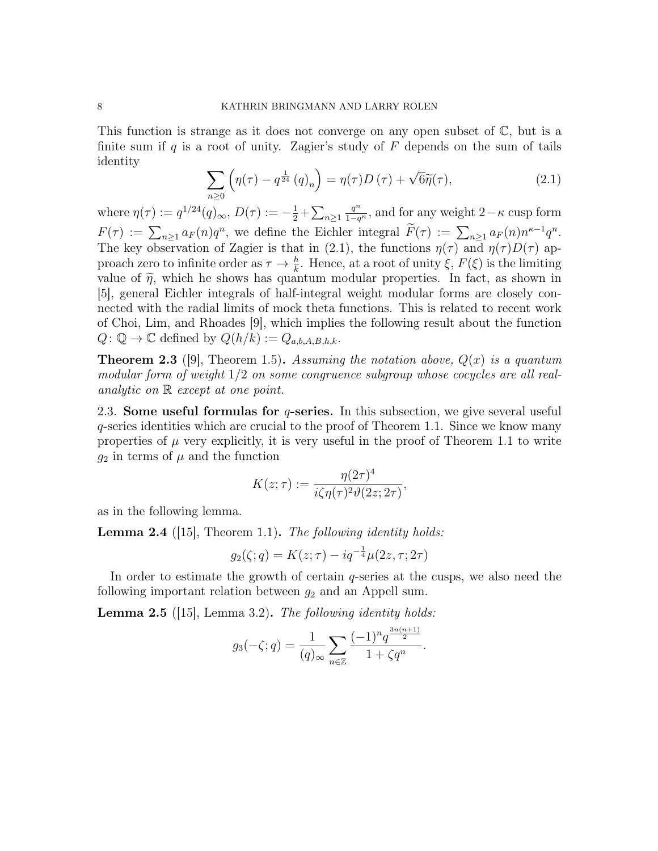This function is strange as it does not converge on any open subset of  $\mathbb{C}$ , but is a finite sum if  $q$  is a root of unity. Zagier's study of  $F$  depends on the sum of tails identity

$$
\sum_{n\geq 0} \left( \eta(\tau) - q^{\frac{1}{24}} (q)_n \right) = \eta(\tau) D(\tau) + \sqrt{6} \widetilde{\eta}(\tau), \tag{2.1}
$$

where  $\eta(\tau) := q^{1/24}(q)_{\infty}, D(\tau) := -\frac{1}{2} + \sum_{n \geq 1}$  $\frac{q^n}{1-q^n}$ , and for any weight 2– $\kappa$  cusp form  $F(\tau) := \sum_{n \geq 1} a_F(n) q^n$ , we define the Eichler integral  $\tilde{F}(\tau) := \sum_{n \geq 1} a_F(n) n^{\kappa-1} q^n$ . The key observation of Zagier is that in (2.1), the functions  $\eta(\tau)$  and  $\eta(\tau)D(\tau)$  approach zero to infinite order as  $\tau \to \frac{h}{k}$ . Hence, at a root of unity  $\xi$ ,  $F(\xi)$  is the limiting value of  $\tilde{\eta}$ , which he shows has quantum modular properties. In fact, as shown in [5], general Eichler integrals of half-integral weight modular forms are closely connected with the radial limits of mock theta functions. This is related to recent work of Choi, Lim, and Rhoades [9], which implies the following result about the function  $Q: \mathbb{Q} \to \mathbb{C}$  defined by  $Q(h/k) := Q_{a,b,A,B,h,k}.$ 

**Theorem 2.3** ([9], Theorem 1.5). Assuming the notation above,  $Q(x)$  is a quantum modular form of weight  $1/2$  on some congruence subgroup whose cocycles are all realanalytic on R except at one point.

2.3. Some useful formulas for  $q$ -series. In this subsection, we give several useful q-series identities which are crucial to the proof of Theorem 1.1. Since we know many properties of  $\mu$  very explicitly, it is very useful in the proof of Theorem 1.1 to write  $g_2$  in terms of  $\mu$  and the function

$$
K(z;\tau) := \frac{\eta(2\tau)^4}{i\zeta\eta(\tau)^2\vartheta(2z;2\tau)},
$$

as in the following lemma.

**Lemma 2.4** ([15], Theorem 1.1). The following identity holds:

$$
g_2(\zeta; q) = K(z; \tau) - iq^{-\frac{1}{4}}\mu(2z, \tau; 2\tau)
$$

In order to estimate the growth of certain q-series at the cusps, we also need the following important relation between  $g_2$  and an Appell sum.

**Lemma 2.5** ([15], Lemma 3.2). The following identity holds:

$$
g_3(-\zeta;q) = \frac{1}{(q)_{\infty}} \sum_{n \in \mathbb{Z}} \frac{(-1)^n q^{\frac{3n(n+1)}{2}}}{1 + \zeta q^n}.
$$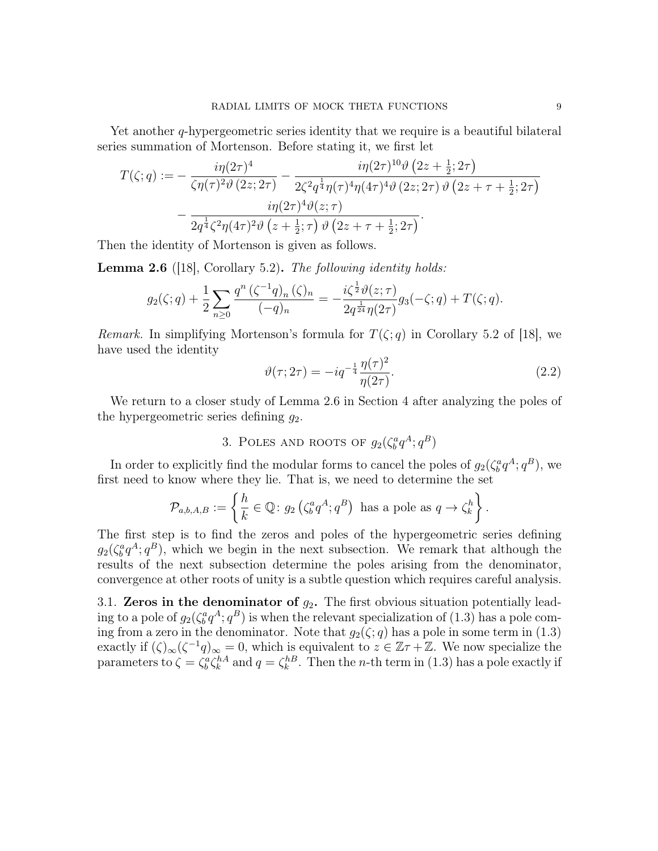Yet another *q*-hypergeometric series identity that we require is a beautiful bilateral series summation of Mortenson. Before stating it, we first let

$$
T(\zeta;q) := -\frac{i\eta(2\tau)^4}{\zeta\eta(\tau)^2 \vartheta(2z;2\tau)} - \frac{i\eta(2\tau)^{10}\vartheta(2z+\frac{1}{2};2\tau)}{2\zeta^2 q^{\frac{1}{4}}\eta(\tau)^4 \eta(4\tau)^4 \vartheta(2z;2\tau) \vartheta(2z+\tau+\frac{1}{2};2\tau)} - \frac{i\eta(2\tau)^4 \vartheta(z;\tau)}{2q^{\frac{1}{4}}\zeta^2 \eta(4\tau)^2 \vartheta(z+\frac{1}{2};\tau) \vartheta(2z+\tau+\frac{1}{2};2\tau)}.
$$

Then the identity of Mortenson is given as follows.

**Lemma 2.6** ([18], Corollary 5.2). The following identity holds:

$$
g_2(\zeta;q) + \frac{1}{2} \sum_{n \geq 0} \frac{q^n (\zeta^{-1}q)_n (\zeta)_n}{(-q)_n} = -\frac{i\zeta^{\frac{1}{2}} \vartheta(z;\tau)}{2q^{\frac{1}{24}} \eta(2\tau)} g_3(-\zeta;q) + T(\zeta;q).
$$

*Remark.* In simplifying Mortenson's formula for  $T(\zeta; q)$  in Corollary 5.2 of [18], we have used the identity

$$
\vartheta(\tau; 2\tau) = -iq^{-\frac{1}{4}} \frac{\eta(\tau)^2}{\eta(2\tau)}.
$$
\n
$$
(2.2)
$$

We return to a closer study of Lemma 2.6 in Section 4 after analyzing the poles of the hypergeometric series defining  $q_2$ .

3. POLES AND ROOTS OF  $g_2(\zeta_b^a q^A; q^B)$ 

In order to explicitly find the modular forms to cancel the poles of  $g_2(\zeta_b^a q^A; q^B)$ , we first need to know where they lie. That is, we need to determine the set

$$
\mathcal{P}_{a,b,A,B} := \left\{ \frac{h}{k} \in \mathbb{Q} \colon g_2 \left( \zeta_b^a q^A ; q^B \right) \text{ has a pole as } q \to \zeta_k^h \right\}.
$$

The first step is to find the zeros and poles of the hypergeometric series defining  $g_2(\zeta_b^a q^A; q^B)$ , which we begin in the next subsection. We remark that although the results of the next subsection determine the poles arising from the denominator, convergence at other roots of unity is a subtle question which requires careful analysis.

3.1. Zeros in the denominator of  $g_2$ . The first obvious situation potentially leading to a pole of  $g_2(\zeta_b^a q^A; q^B)$  is when the relevant specialization of (1.3) has a pole coming from a zero in the denominator. Note that  $g_2(\zeta; q)$  has a pole in some term in (1.3) exactly if  $(\zeta)_{\infty}(\zeta^{-1}q)_{\infty}=0$ , which is equivalent to  $z \in \mathbb{Z}\tau+\mathbb{Z}$ . We now specialize the parameters to  $\zeta = \zeta_b^a \zeta_k^{hA}$  and  $q = \zeta_k^{hB}$ . Then the *n*-th term in (1.3) has a pole exactly if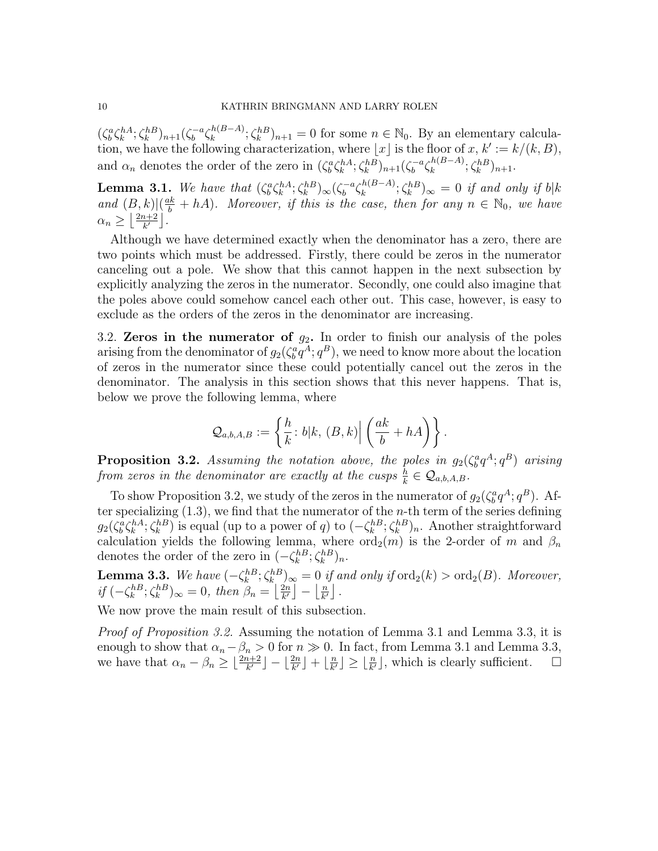$(\zeta_b^a \zeta_k^{hA}; \zeta_k^{hB})_{n+1} (\zeta_b^{-a}$  $\int_b^{-a} \zeta_k^{h(B-A)}$  $(k^{(B-A)}_k; \zeta_k^{h(B)})_{n+1} = 0$  for some  $n \in \mathbb{N}_0$ . By an elementary calculation, we have the following characterization, where |x| is the floor of x,  $k' := k/(k, B)$ , and  $\alpha_n$  denotes the order of the zero in  $(\zeta_b^a \zeta_k^{hA}; \zeta_k^{hB})_{n+1} (\zeta_b^{-a})$  $\int_b^{-a} \zeta_k^{h(B-A)}$  $\zeta_k^{h(B-A)}$ ;  $\zeta_k^{hB})_{n+1}$ .

**Lemma 3.1.** We have that  $(\zeta_b^a \zeta_k^{hA}; \zeta_k^{hB})_\infty (\zeta_b^{-a})$  $\int_b^{-a} \zeta_k^{h(B-A)}$  $\lambda_k^{h(B-A)}$ ;  $\zeta_k^{hB})_{\infty} = 0$  if and only if  $b|k$ and  $(B, k)$  $(\frac{ak}{b} + hA)$ . Moreover, if this is the case, then for any  $n \in \mathbb{N}_0$ , we have  $\alpha_n \geq \left( \frac{2n+2}{k'} \right)$  $\frac{i+2}{k'}$ .

Although we have determined exactly when the denominator has a zero, there are two points which must be addressed. Firstly, there could be zeros in the numerator canceling out a pole. We show that this cannot happen in the next subsection by explicitly analyzing the zeros in the numerator. Secondly, one could also imagine that the poles above could somehow cancel each other out. This case, however, is easy to exclude as the orders of the zeros in the denominator are increasing.

3.2. Zeros in the numerator of  $g_2$ . In order to finish our analysis of the poles arising from the denominator of  $g_2(\zeta_b^a q^A; q^B)$ , we need to know more about the location of zeros in the numerator since these could potentially cancel out the zeros in the denominator. The analysis in this section shows that this never happens. That is, below we prove the following lemma, where

$$
\mathcal{Q}_{a,b,A,B}:=\left\{\frac{h}{k}\colon b|k,\,(B,k)\Big|\left(\frac{ak}{b}+hA\right)\right\}.
$$

**Proposition 3.2.** Assuming the notation above, the poles in  $g_2(\zeta_b^a q^A; q^B)$  arising from zeros in the denominator are exactly at the cusps  $\frac{h}{k} \in \mathcal{Q}_{a,b,A,B}$ .

To show Proposition 3.2, we study of the zeros in the numerator of  $g_2(\zeta_b^a q^A; q^B)$ . After specializing  $(1.3)$ , we find that the numerator of the *n*-th term of the series defining  $g_2(\zeta_b^a \zeta_k^{hA}; \zeta_k^{hB})$  is equal (up to a power of q) to  $(-\zeta_k^{hB}; \zeta_k^{hB})_n$ . Another straightforward calculation yields the following lemma, where  $\overline{\text{ord}}_2(m)$  is the 2-order of m and  $\beta_n$ denotes the order of the zero in  $(-\zeta_k^{h} \xi_k^{h} \xi_k^{h})_n$ .

**Lemma 3.3.** We have  $(-\zeta_k^{hB}; \zeta_k^{hB})_{\infty} = 0$  if and only if  $\text{ord}_2(k) > \text{ord}_2(B)$ . Moreover, if  $\left(-\zeta_k^{hB}; \zeta_k^{hB}\right)_{\infty} = 0$ , then  $\beta_n = \left[\frac{2n}{k'}\right]$  $\left\lfloor \frac{2n}{k'} \right\rfloor - \left\lfloor \frac{n}{k'} \right\rfloor$  $\frac{n}{k'}\rfloor$ .

We now prove the main result of this subsection.

Proof of Proposition 3.2. Assuming the notation of Lemma 3.1 and Lemma 3.3, it is enough to show that  $\alpha_n - \beta_n > 0$  for  $n \gg 0$ . In fact, from Lemma 3.1 and Lemma 3.3, we have that  $\alpha_n - \beta_n \geq \lfloor \frac{2n+2}{k'} \rfloor - \lfloor \frac{2n}{k'} \rfloor + \lfloor \frac{n}{k'} \rfloor$  $\lfloor \frac{n}{k'} \rfloor \geq \lfloor \frac{n}{k'} \rfloor$ , which is clearly sufficient.  $\Box$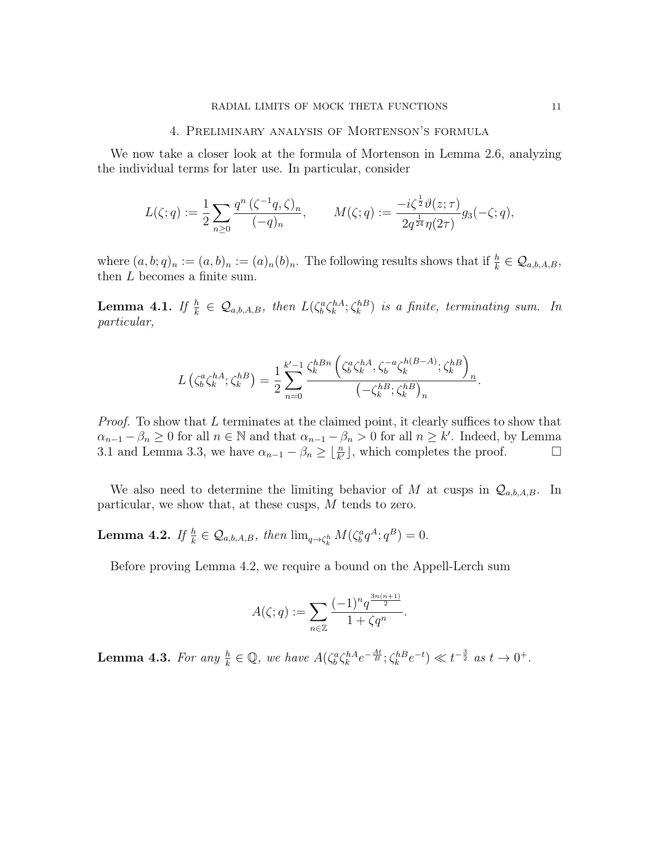#### 4. Preliminary analysis of Mortenson's formula

We now take a closer look at the formula of Mortenson in Lemma 2.6, analyzing the individual terms for later use. In particular, consider

$$
L(\zeta;q) := \frac{1}{2} \sum_{n\geq 0} \frac{q^n (\zeta^{-1}q, \zeta)_n}{(-q)_n}, \qquad M(\zeta;q) := \frac{-i\zeta^{\frac{1}{2}} \vartheta(z;\tau)}{2q^{\frac{1}{24}} \eta(2\tau)} g_3(-\zeta;q),
$$

where  $(a, b; q)_n := (a, b)_n := (a)_n (b)_n$ . The following results shows that if  $\frac{h}{k} \in \mathcal{Q}_{a,b,A,B}$ , then L becomes a finite sum.

**Lemma 4.1.** If  $\frac{h}{k} \in \mathcal{Q}_{a,b,A,B}$ , then  $L(\zeta_b^a \zeta_k^{hA}; \zeta_k^{hB})$  is a finite, terminating sum. In particular,

$$
L(\zeta_b^a \zeta_k^{hA}; \zeta_k^{hB}) = \frac{1}{2} \sum_{n=0}^{k'-1} \frac{\zeta_k^{hBn} (\zeta_b^a \zeta_k^{hA}, \zeta_b^{-a} \zeta_k^{h(B-A)}; \zeta_k^{hB})_n}{(-\zeta_k^{hB}; \zeta_k^{hB})_n}.
$$

*Proof.* To show that L terminates at the claimed point, it clearly suffices to show that  $\alpha_{n-1} - \beta_n \geq 0$  for all  $n \in \mathbb{N}$  and that  $\alpha_{n-1} - \beta_n > 0$  for all  $n \geq k'$ . Indeed, by Lemma 3.1 and Lemma 3.3, we have  $\alpha_{n-1} - \beta_n \geq \lfloor \frac{n}{k'} \rfloor$ , which completes the proof.  $\Box$ 

We also need to determine the limiting behavior of M at cusps in  $\mathcal{Q}_{a,b,A,B}$ . In particular, we show that, at these cusps, M tends to zero.

**Lemma 4.2.** If  $\frac{h}{k} \in \mathcal{Q}_{a,b,A,B}$ , then  $\lim_{q \to \zeta_k^h} M(\zeta_b^a q^A; q^B) = 0$ .

Before proving Lemma 4.2, we require a bound on the Appell-Lerch sum

$$
A(\zeta;q):=\sum_{n\in\mathbb{Z}}\frac{(-1)^nq^{\frac{3n(n+1)}{2}}}{1+\zeta q^n}.
$$

**Lemma 4.3.** For any  $\frac{h}{k} \in \mathbb{Q}$ , we have  $A(\zeta_b^a \zeta_k^{hA} e^{-\frac{At}{B}}; \zeta_k^{hB} e^{-t}) \ll t^{-\frac{3}{2}}$  as  $t \to 0^+$ .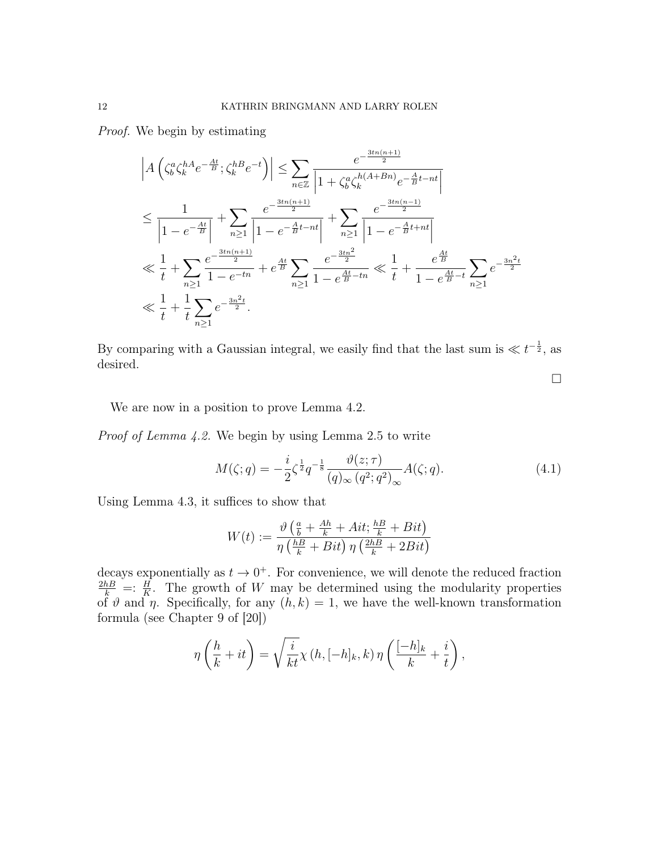Proof. We begin by estimating

$$
\left| A \left( \zeta_b^a \zeta_k^{hA} e^{-\frac{At}{B}} ; \zeta_k^{hB} e^{-t} \right) \right| \leq \sum_{n \in \mathbb{Z}} \frac{e^{-\frac{3tn(n+1)}{2}}}{\left| 1 + \zeta_b^a \zeta_k^{h(A+Bn)} e^{-\frac{A}{B}t - nt} \right|}
$$
  
\n
$$
\leq \frac{1}{\left| 1 - e^{-\frac{At}{B}} \right|} + \sum_{n \geq 1} \frac{e^{-\frac{3tn(n+1)}{2}}}{\left| 1 - e^{-\frac{A}{B}t - nt} \right|} + \sum_{n \geq 1} \frac{e^{-\frac{3tn(n-1)}{2}}}{\left| 1 - e^{-\frac{A}{B}t + nt} \right|}
$$
  
\n
$$
\ll \frac{1}{t} + \sum_{n \geq 1} \frac{e^{-\frac{3tn(n+1)}{2}}}{1 - e^{-tn}} + e^{\frac{At}{B}} \sum_{n \geq 1} \frac{e^{-\frac{3tn^2}{2}}}{1 - e^{\frac{At}{B} - tn}} \ll \frac{1}{t} + \frac{e^{\frac{At}{B}}}{1 - e^{\frac{At}{B} - t}} \sum_{n \geq 1} e^{-\frac{3n^2t}{2}}
$$
  
\n
$$
\ll \frac{1}{t} + \frac{1}{t} \sum_{n \geq 1} e^{-\frac{3n^2t}{2}}.
$$

By comparing with a Gaussian integral, we easily find that the last sum is  $\ll t^{-\frac{1}{2}}$ , as desired.

 $\Box$ 

We are now in a position to prove Lemma 4.2.

Proof of Lemma 4.2. We begin by using Lemma 2.5 to write

$$
M(\zeta;q) = -\frac{i}{2}\zeta^{\frac{1}{2}}q^{-\frac{1}{8}}\frac{\vartheta(z;\tau)}{(q)_{\infty}(q^2;q^2)_{\infty}}A(\zeta;q). \tag{4.1}
$$

Using Lemma 4.3, it suffices to show that

$$
W(t) := \frac{\vartheta\left(\frac{a}{b} + \frac{Ah}{k} + Ait; \frac{hB}{k} + Bit\right)}{\eta\left(\frac{hB}{k} + Bit\right)\eta\left(\frac{2hB}{k} + 2Bit\right)}
$$

decays exponentially as  $t \to 0^+$ . For convenience, we will denote the reduced fraction  $\frac{2h}{k}$  =:  $\frac{H}{K}$ . The growth of W may be determined using the modularity properties of  $\vartheta$  and  $\eta$ . Specifically, for any  $(h, k) = 1$ , we have the well-known transformation formula (see Chapter 9 of [20])

$$
\eta\left(\frac{h}{k} + it\right) = \sqrt{\frac{i}{kt}} \chi\left(h, [-h]_k, k\right) \eta\left(\frac{[-h]_k}{k} + \frac{i}{t}\right),\,
$$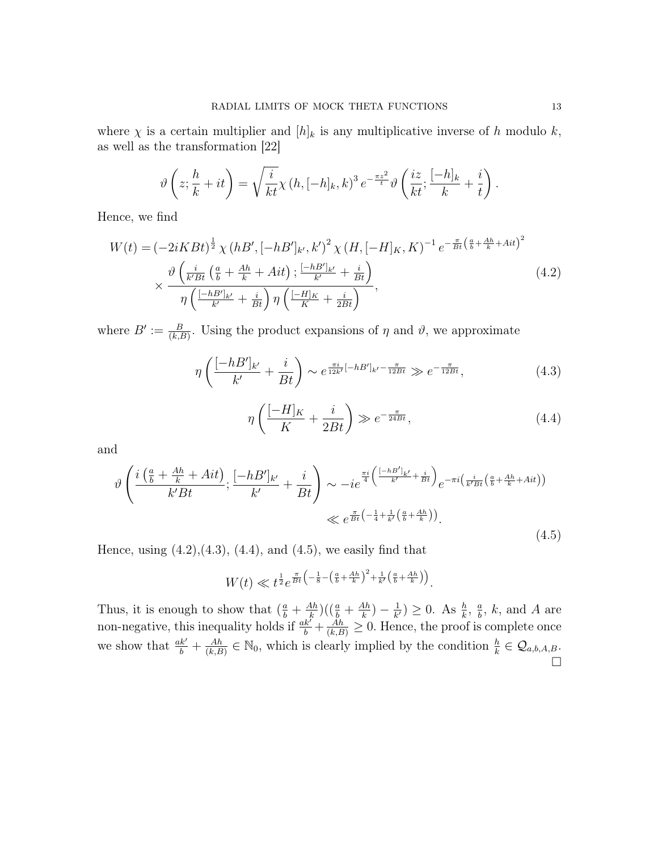where  $\chi$  is a certain multiplier and  $[h]_k$  is any multiplicative inverse of h modulo k, as well as the transformation [22]

$$
\vartheta\left(z;\frac{h}{k}+it\right) = \sqrt{\frac{i}{kt}}\chi\left(h,[-h]_k,k\right)^3 e^{-\frac{\pi z^2}{t}}\vartheta\left(\frac{iz}{kt};\frac{[-h]_k}{k}+\frac{i}{t}\right).
$$

Hence, we find

$$
W(t) = \left(-2iKBt\right)^{\frac{1}{2}} \chi\left(hB', \left[-hB'\right]_{k'}, k'\right)^{2} \chi\left(H, \left[-H\right]_{K}, K\right)^{-1} e^{-\frac{\pi}{Bt} \left(\frac{a}{b} + \frac{Ah}{k} + Ait\right)^{2}}
$$

$$
\times \frac{\vartheta\left(\frac{i}{k'Bt}\left(\frac{a}{b} + \frac{Ah}{k} + Ait\right); \frac{\left[-hB'\right]_{k'}}{k'} + \frac{i}{Bt}\right)}{\eta\left(\frac{\left[-hB'\right]_{k'}}{k'} + \frac{i}{Bt}\right) \eta\left(\frac{\left[-H\right]_{K}}{K} + \frac{i}{2Bt}\right)},\tag{4.2}
$$

where  $B' := \frac{B}{(k,B)}$ . Using the product expansions of  $\eta$  and  $\vartheta$ , we approximate

$$
\eta \left( \frac{[-hB']_{k'}}{k'} + \frac{i}{Bt} \right) \sim e^{\frac{\pi i}{12k'}[-hB']_{k'} - \frac{\pi}{12Bt}} \gg e^{-\frac{\pi}{12Bt}}, \tag{4.3}
$$

$$
\eta\left(\frac{[-H]_K}{K} + \frac{i}{2Bt}\right) \gg e^{-\frac{\pi}{24Bt}},\tag{4.4}
$$

and

$$
\vartheta \left( \frac{i \left( \frac{a}{b} + \frac{Ah}{k} + Ait \right)}{k' B t}; \frac{[-hB']_{k'}}{k'} + \frac{i}{Bt} \right) \sim -ie^{\frac{\pi i}{4} \left( \frac{[-hB']_{k'}}{k'} + \frac{i}{Bt} \right)} e^{-\pi i \left( \frac{i}{k'Bt} \left( \frac{a}{b} + \frac{Ah}{k} + Ait \right) \right)}
$$
  

$$
\ll e^{\frac{\pi}{Bt} \left( -\frac{1}{4} + \frac{1}{k'} \left( \frac{a}{b} + \frac{Ah}{k} \right) \right)}.
$$
(4.5)

Hence, using  $(4.2), (4.3), (4.4),$  and  $(4.5),$  we easily find that

$$
W(t) \ll t^{\frac{1}{2}} e^{\frac{\pi}{Bt} \left(-\frac{1}{8} - \left(\frac{a}{b} + \frac{Ah}{k}\right)^2 + \frac{1}{k'}\left(\frac{a}{b} + \frac{Ah}{k}\right)\right)}.
$$

Thus, it is enough to show that  $(\frac{a}{b} + \frac{Ah}{k})$  $\frac{4h}{k}$ ) $(\left(\frac{a}{b} + \frac{Ah}{k}\right)$  $\frac{4h}{k})-\frac{1}{k^2}$  $\frac{1}{k'}$ )  $\geq 0$ . As  $\frac{h}{k}$ ,  $\frac{a}{b}$  $\frac{a}{b}$ , k, and A are non-negative, this inequality holds if  $\frac{ak'}{b} + \frac{\dot{A}h}{(k,B)} \geq 0$ . Hence, the proof is complete once we show that  $\frac{ak'}{b} + \frac{Ah}{(k, B)}$  $\frac{Ah}{(k,B)} \in \mathbb{N}_0$ , which is clearly implied by the condition  $\frac{h}{k} \in \mathcal{Q}_{a,b,A,B}$ .  $\Box$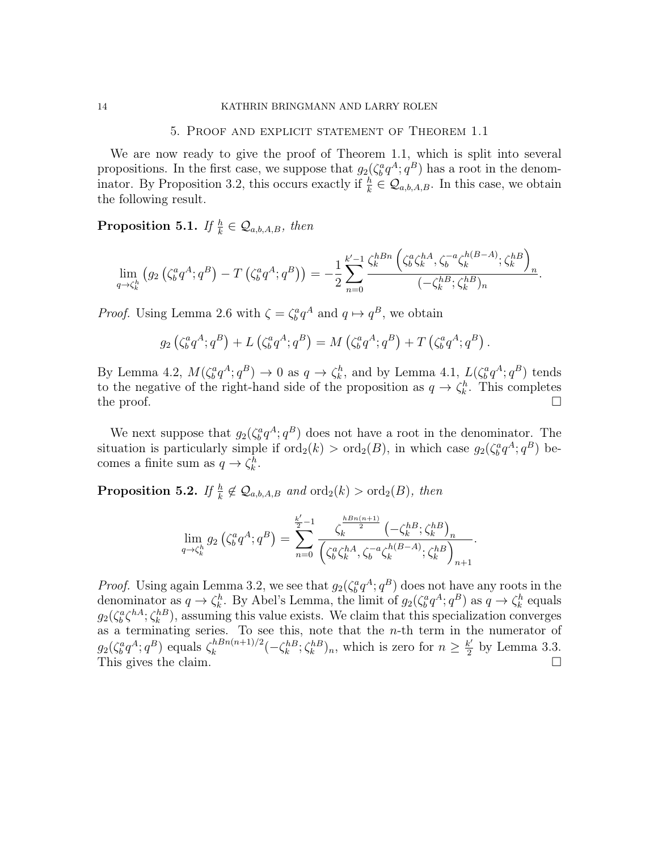#### 5. Proof and explicit statement of Theorem 1.1

We are now ready to give the proof of Theorem 1.1, which is split into several propositions. In the first case, we suppose that  $g_2(\zeta_b^a q^A; q^B)$  has a root in the denominator. By Proposition 3.2, this occurs exactly if  $\frac{h}{k} \in \mathcal{Q}_{a,b,A,B}$ . In this case, we obtain the following result.

**Proposition 5.1.** If  $\frac{h}{k} \in \mathcal{Q}_{a,b,A,B}$ , then

$$
\lim_{q \to \zeta_k^h} (g_2(\zeta_b^a q^A; q^B) - T(\zeta_b^a q^A; q^B)) = -\frac{1}{2} \sum_{n=0}^{k'-1} \frac{\zeta_k^{hBn} (\zeta_b^a \zeta_k^{hA}, \zeta_b^{-a} \zeta_k^{h(B-A)}; \zeta_k^{hB})}{(-\zeta_k^{hB}; \zeta_k^{hB})_n}.
$$

*Proof.* Using Lemma 2.6 with  $\zeta = \zeta_b^a q^A$  and  $q \mapsto q^B$ , we obtain

$$
g_2(\zeta_b^a q^A; q^B) + L(\zeta_b^a q^A; q^B) = M(\zeta_b^a q^A; q^B) + T(\zeta_b^a q^A; q^B).
$$

By Lemma 4.2,  $M(\zeta_b^a q^A; q^B) \to 0$  as  $q \to \zeta_k^h$ , and by Lemma 4.1,  $L(\zeta_b^a q^A; q^B)$  tends to the negative of the right-hand side of the proposition as  $q \to \zeta_k^h$ . This completes the proof.  $\Box$ 

We next suppose that  $g_2(\zeta_b^a q^A; q^B)$  does not have a root in the denominator. The situation is particularly simple if  $\text{ord}_2(k) > \text{ord}_2(B)$ , in which case  $g_2(\zeta_b^a q^A; q^B)$  becomes a finite sum as  $q \to \zeta_k^h$ .

**Proposition 5.2.** If  $\frac{h}{k} \notin \mathcal{Q}_{a,b,A,B}$  and  $\text{ord}_2(k) > \text{ord}_2(B)$ , then

$$
\lim_{q \to \zeta_k^h} g_2 \left( \zeta_b^a q^A; q^B \right) = \sum_{n=0}^{\frac{k'}{2}-1} \frac{\zeta_k^{\frac{hBn(n+1)}{2}} \left( -\zeta_k^{hB}; \zeta_k^{hB} \right)_n}{\left( \zeta_b^a \zeta_k^{hA}, \zeta_b^{-a} \zeta_k^{h(B-A)}; \zeta_k^{hB} \right)_{n+1}}.
$$

*Proof.* Using again Lemma 3.2, we see that  $g_2(\zeta_b^a q^A; q^B)$  does not have any roots in the denominator as  $q \to \zeta_k^h$ . By Abel's Lemma, the limit of  $g_2(\zeta_b^a q^A; q^B)$  as  $q \to \zeta_k^h$  equals  $g_2(\zeta_b^a \zeta_h^{hA}; \zeta_k^{hB})$ , assuming this value exists. We claim that this specialization converges as a terminating series. To see this, note that the  $n$ -th term in the numerator of  $g_2(\zeta_b^a q^A; q^B)$  equals  $\zeta_k^{hBn(n+1)/2}$  $\int_{k}^{hBn(n+1)/2} (-\zeta_k^{h} S; \zeta_k^{h} S)_{n}$ , which is zero for  $n \geq \frac{k'}{2}$  $\frac{k'}{2}$  by Lemma 3.3. This gives the claim.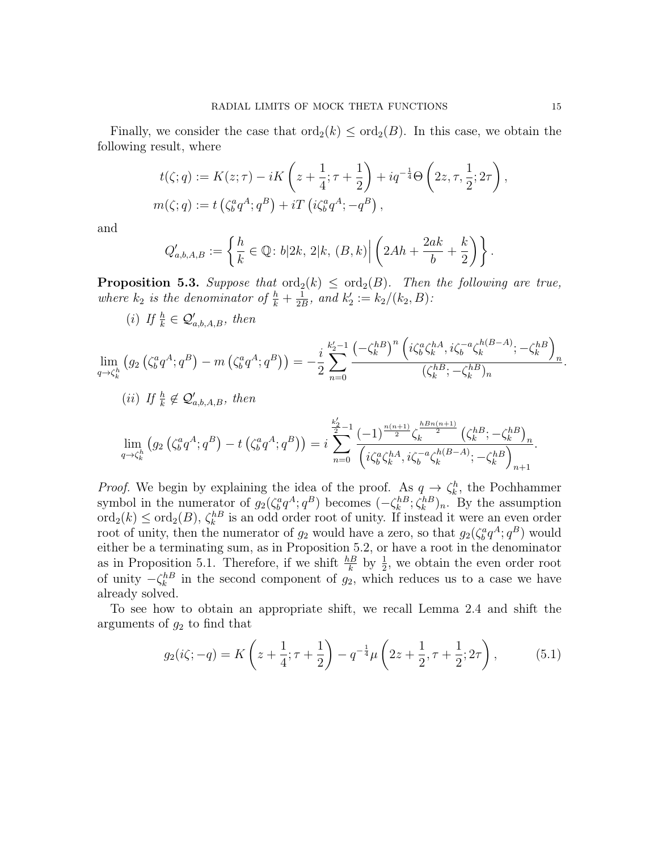Finally, we consider the case that  $\text{ord}_2(k) \leq \text{ord}_2(B)$ . In this case, we obtain the following result, where

$$
t(\zeta;q) := K(z;\tau) - iK\left(z + \frac{1}{4}; \tau + \frac{1}{2}\right) + iq^{-\frac{1}{4}}\Theta\left(2z, \tau, \frac{1}{2}; 2\tau\right),
$$
  

$$
m(\zeta;q) := t\left(\zeta_b^a q^A; q^B\right) + iT\left(i\zeta_b^a q^A; -q^B\right),
$$

and

$$
Q'_{a,b,A,B} := \left\{ \frac{h}{k} \in \mathbb{Q} \colon b|2k, 2|k, (B,k) \right| \left( 2Ah + \frac{2ak}{b} + \frac{k}{2} \right) \right\}.
$$

**Proposition 5.3.** Suppose that  $\text{ord}_2(k) \leq \text{ord}_2(B)$ . Then the following are true, where  $k_2$  is the denominator of  $\frac{h}{k} + \frac{1}{2l}$  $\frac{1}{2B}$ , and  $k'_2 := k_2/(k_2, B)$ :

(i) If  $\frac{h}{k} \in \mathcal{Q}'_{a,b,A,B}$ , then

$$
\lim_{q \to \zeta_k^h} (g_2(\zeta_b^a q^A; q^B) - m(\zeta_b^a q^A; q^B)) = -\frac{i}{2} \sum_{n=0}^{k_2'-1} \frac{(-\zeta_k^{h})^n (\iota \zeta_b^a \zeta_k^{hA}, i\zeta_b^{-a} \zeta_k^{h(B-A)}; -\zeta_k^{hB})_n}{(\zeta_k^{hB}; -\zeta_k^{hB})_n}.
$$

$$
(ii) \ \text{If } \frac{h}{k} \notin \mathcal{Q}'_{a,b,A,B}, \text{ then}
$$

$$
\lim_{q \to \zeta_k^h} (g_2(\zeta_b^a q^A; q^B) - t(\zeta_b^a q^A; q^B)) = i \sum_{n=0}^{\frac{k_2'}{2}-1} \frac{(-1)^{\frac{n(n+1)}{2}} \zeta_k^{\frac{hBn(n+1)}{2}}(\zeta_k^{hB}; -\zeta_k^{hB})_n}{(i\zeta_b^a \zeta_k^{hA}, i\zeta_b^{-a} \zeta_k^{h(B-A)}; -\zeta_k^{hB})_{n+1}}.
$$

*Proof.* We begin by explaining the idea of the proof. As  $q \rightarrow \zeta_k^h$ , the Pochhammer symbol in the numerator of  $g_2(\zeta_b^a q^A; q^B)$  becomes  $(-\zeta_k^{hB}; \zeta_k^{hB})_n$ . By the assumption  $\text{ord}_2(k) \le \text{ord}_2(B)$ ,  $\zeta_k^{hB}$  is an odd order root of unity. If instead it were an even order root of unity, then the numerator of  $g_2$  would have a zero, so that  $g_2(\zeta_b^a q^A; q^B)$  would either be a terminating sum, as in Proposition 5.2, or have a root in the denominator as in Proposition 5.1. Therefore, if we shift  $\frac{h}{k}$  by  $\frac{1}{2}$ , we obtain the even order root of unity  $-\zeta_k^{h}$  in the second component of  $g_2$ , which reduces us to a case we have already solved.

To see how to obtain an appropriate shift, we recall Lemma 2.4 and shift the arguments of  $g_2$  to find that

$$
g_2(i\zeta; -q) = K\left(z + \frac{1}{4}; \tau + \frac{1}{2}\right) - q^{-\frac{1}{4}}\mu\left(2z + \frac{1}{2}, \tau + \frac{1}{2}; 2\tau\right),\tag{5.1}
$$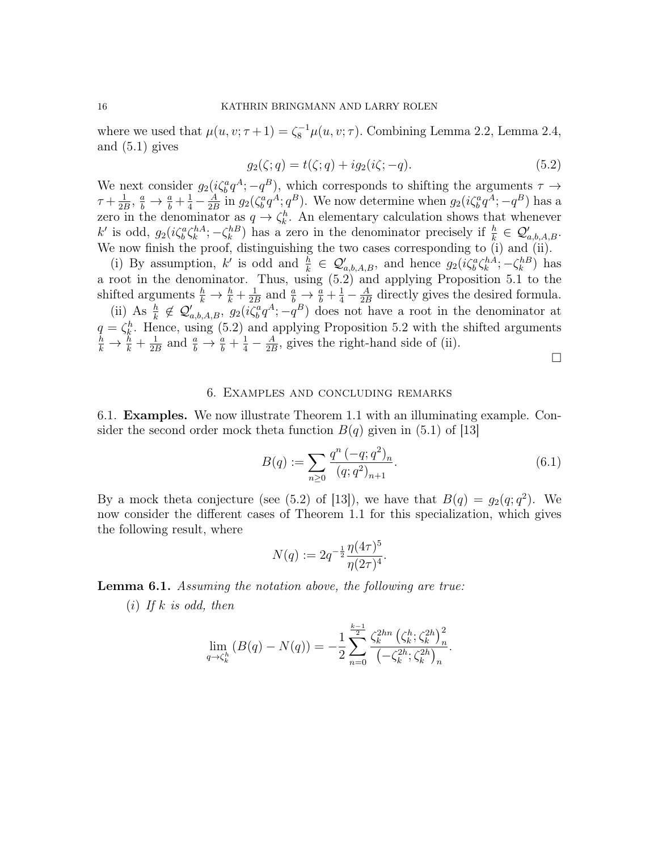where we used that  $\mu(u, v; \tau + 1) = \zeta_8^{-1} \mu(u, v; \tau)$ . Combining Lemma 2.2, Lemma 2.4, and (5.1) gives

$$
g_2(\zeta; q) = t(\zeta; q) + ig_2(i\zeta; -q).
$$
 (5.2)

We next consider  $g_2(i\zeta_b^a q^A; -q^B)$ , which corresponds to shifting the arguments  $\tau \to$  $\tau+\frac{1}{2l}$  $\frac{1}{2B}, \frac{a}{b} \to \frac{a}{b} + \frac{1}{4} - \frac{A}{2B}$  $\frac{A}{2B}$  in  $g_2(\zeta_b^a q^A; q^B)$ . We now determine when  $g_2(i\zeta_b^a q^A; -q^B)$  has a zero in the denominator as  $q \to \zeta_k^h$ . An elementary calculation shows that whenever k' is odd,  $g_2(i\zeta_b^a\zeta_k^{hA}; -\zeta_k^{hB})$  has a zero in the denominator precisely if  $\frac{h}{k} \in \mathcal{Q}'_{a,b,A,B}$ . We now finish the proof, distinguishing the two cases corresponding to (i) and (ii).

(i) By assumption, k' is odd and  $\frac{h}{k} \in \mathcal{Q}'_{a,b,A,B}$ , and hence  $g_2(i\zeta_b^a \zeta_k^{hA}; -\zeta_k^{hB})$  has a root in the denominator. Thus, using (5.2) and applying Proposition 5.1 to the shifted arguments  $\frac{h}{k} \to \frac{h}{k} + \frac{1}{2k}$  $\frac{1}{2B}$  and  $\frac{a}{b} \rightarrow \frac{a}{b} + \frac{1}{4} - \frac{A}{2E}$  $\frac{A}{2B}$  directly gives the desired formula. (ii) As  $\frac{h}{k} \notin \mathcal{Q}'_{a,b,A,B}, g_2(i\zeta_b^a q^A; -q^B)$  does not have a root in the denominator at  $q = \zeta_k^h$ . Hence, using (5.2) and applying Proposition 5.2 with the shifted arguments  $\frac{h}{k} \rightarrow \frac{h}{k} + \frac{1}{2l}$  $\frac{1}{2B}$  and  $\frac{a}{b} \rightarrow \frac{a}{b} + \frac{1}{4} - \frac{A}{2E}$  $\frac{A}{2B}$ , gives the right-hand side of (ii).

 $\Box$ 

#### 6. Examples and concluding remarks

6.1. Examples. We now illustrate Theorem 1.1 with an illuminating example. Consider the second order mock theta function  $B(q)$  given in (5.1) of [13]

$$
B(q) := \sum_{n\geq 0} \frac{q^n (-q;q^2)_n}{(q;q^2)_{n+1}}.
$$
\n(6.1)

By a mock theta conjecture (see (5.2) of [13]), we have that  $B(q) = g_2(q; q^2)$ . We now consider the different cases of Theorem 1.1 for this specialization, which gives the following result, where

$$
N(q) := 2q^{-\frac{1}{2}} \frac{\eta(4\tau)^5}{\eta(2\tau)^4}.
$$

Lemma 6.1. Assuming the notation above, the following are true:

 $(i)$  If k is odd, then

$$
\lim_{q \to \zeta_k^h} (B(q) - N(q)) = -\frac{1}{2} \sum_{n=0}^{\frac{k-1}{2}} \frac{\zeta_k^{2hn} (\zeta_k^h; \zeta_k^{2h})_n^2}{(-\zeta_k^{2h}; \zeta_k^{2h})_n}.
$$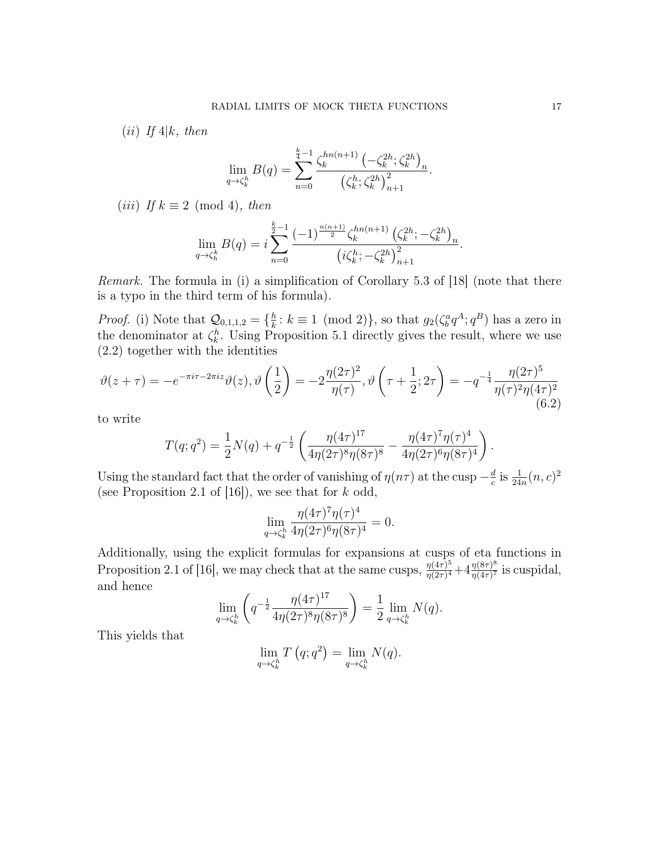(*ii*) If  $4|k$ , then

$$
\lim_{q \to \zeta_k^h} B(q) = \sum_{n=0}^{\frac{k}{4}-1} \frac{\zeta_k^{hn(n+1)} \left( -\zeta_k^{2h}; \zeta_k^{2h} \right)_n}{\left( \zeta_k^h; \zeta_k^{2h} \right)_{n+1}^2}
$$

.

.

(iii) If  $k \equiv 2 \pmod{4}$ , then

$$
\lim_{q \to \zeta_h^k} B(q) = i \sum_{n=0}^{\frac{k}{2}-1} \frac{(-1)^{\frac{n(n+1)}{2}} \zeta_k^{hn(n+1)} \left(\zeta_k^{2h}; -\zeta_k^{2h}\right)_n}{\left(i\zeta_k^h; -\zeta_k^{2h}\right)_{n+1}^2}.
$$

Remark. The formula in (i) a simplification of Corollary 5.3 of [18] (note that there is a typo in the third term of his formula).

*Proof.* (i) Note that  $\mathcal{Q}_{0,1,1,2} = \{\frac{h}{k}\}$  $\frac{h}{k}$ :  $k \equiv 1 \pmod{2}$ , so that  $g_2(\zeta_b^a q^A; q^B)$  has a zero in the denominator at  $\zeta_k^h$ . Using Proposition 5.1 directly gives the result, where we use (2.2) together with the identities

$$
\vartheta(z+\tau) = -e^{-\pi i \tau - 2\pi i z} \vartheta(z), \vartheta\left(\frac{1}{2}\right) = -2\frac{\eta(2\tau)^2}{\eta(\tau)}, \vartheta\left(\tau + \frac{1}{2}; 2\tau\right) = -q^{-\frac{1}{4}} \frac{\eta(2\tau)^5}{\eta(\tau)^2 \eta(4\tau)^2}
$$
(6.2)

to write

$$
T(q;q^2) = \frac{1}{2}N(q) + q^{-\frac{1}{2}} \left( \frac{\eta(4\tau)^{17}}{4\eta(2\tau)^8 \eta(8\tau)^8} - \frac{\eta(4\tau)^7 \eta(\tau)^4}{4\eta(2\tau)^6 \eta(8\tau)^4} \right)
$$

Using the standard fact that the order of vanishing of  $\eta(n\tau)$  at the cusp  $-\frac{d}{d\tau}$  $\frac{d}{c}$  is  $\frac{1}{24n}(n, c)^2$ (see Proposition 2.1 of  $[16]$ ), we see that for k odd,

$$
\lim_{q \to \zeta_h^h} \frac{\eta(4\tau)^7 \eta(\tau)^4}{4\eta(2\tau)^6 \eta(8\tau)^4} = 0.
$$

Additionally, using the explicit formulas for expansions at cusps of eta functions in Proposition 2.1 of [16], we may check that at the same cusps,  $\frac{\eta(4\tau)^5}{n(2\tau)^4}$  $\frac{\eta(4\tau)^5}{\eta(2\tau)^4}+4\frac{\eta(8\tau)^8}{\eta(4\tau)^7}$  $\frac{\eta(8\tau)^{\circ}}{\eta(4\tau)^7}$  is cuspidal, and hence

$$
\lim_{q \to \zeta_k^h} \left( q^{-\frac{1}{2}} \frac{\eta(4\tau)^{17}}{4\eta(2\tau)^8 \eta(8\tau)^8} \right) = \frac{1}{2} \lim_{q \to \zeta_k^h} N(q).
$$

This yields that

$$
\lim_{q \to \zeta_k^h} T(q; q^2) = \lim_{q \to \zeta_k^h} N(q).
$$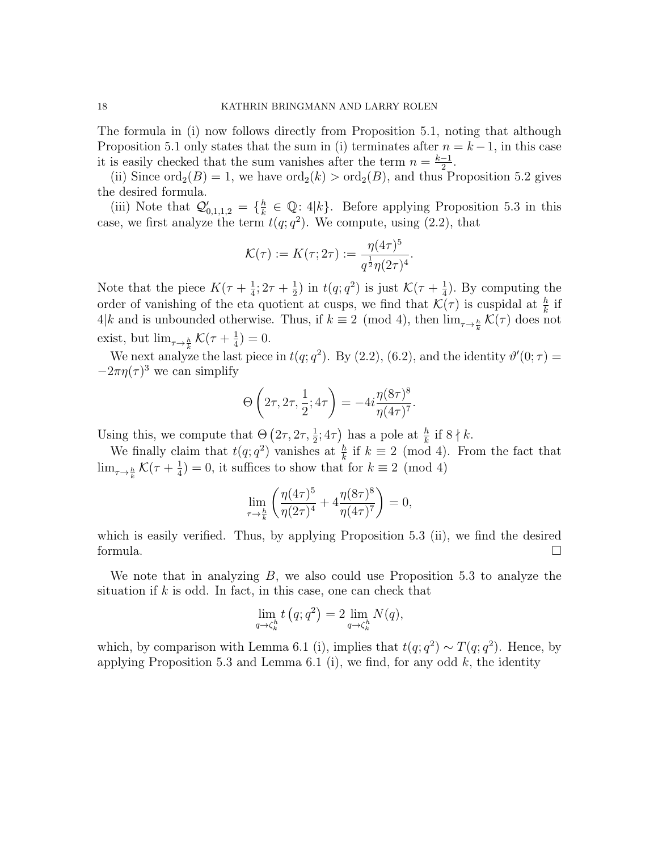The formula in (i) now follows directly from Proposition 5.1, noting that although Proposition 5.1 only states that the sum in (i) terminates after  $n = k - 1$ , in this case it is easily checked that the sum vanishes after the term  $n = \frac{k-1}{2}$  $\frac{-1}{2}$ .

(ii) Since  $\text{ord}_2(B) = 1$ , we have  $\text{ord}_2(k) > \text{ord}_2(B)$ , and thus Proposition 5.2 gives the desired formula.

(iii) Note that  $\mathcal{Q}'_{0,1,1,2} = \{ \frac{h}{k} \}$  $\frac{h}{k} \in \mathbb{Q}$ : 4|k}. Before applying Proposition 5.3 in this case, we first analyze the term  $t(q; q^2)$ . We compute, using  $(2.2)$ , that

$$
\mathcal{K}(\tau) := K(\tau; 2\tau) := \frac{\eta(4\tau)^5}{q^{\frac{1}{2}} \eta(2\tau)^4}.
$$

Note that the piece  $K(\tau+\frac{1}{4})$  $\frac{1}{4}$ ; 2 $\tau + \frac{1}{2}$  $(\frac{1}{2})$  in  $t(q;q^2)$  is just  $\mathcal{K}(\tau+\frac{1}{4})$  $(\frac{1}{4})$ . By computing the order of vanishing of the eta quotient at cusps, we find that  $\mathcal{K}(\tau)$  is cuspidal at  $\frac{h}{k}$  if 4|k and is unbounded otherwise. Thus, if  $k \equiv 2 \pmod{4}$ , then  $\lim_{\tau \to \frac{h}{k}} \mathcal{K}(\tau)$  does not exist, but  $\lim_{\tau \to \frac{h}{k}} \mathcal{K}(\tau + \frac{1}{4})$  $(\frac{1}{4}) = 0.$ 

We next analyze the last piece in  $t(q; q^2)$ . By (2.2), (6.2), and the identity  $\vartheta'(0; \tau) =$  $-2\pi\eta(\tau)^3$  we can simplify

$$
\Theta\left(2\tau, 2\tau, \frac{1}{2}; 4\tau\right) = -4i \frac{\eta(8\tau)^8}{\eta(4\tau)^7}.
$$

Using this, we compute that  $\Theta\left(2\tau, 2\tau, \frac{1}{2}; 4\tau\right)$  has a pole at  $\frac{h}{k}$  if  $8 \nmid k$ .

We finally claim that  $t(q; q^2)$  vanishes at  $\frac{h}{k}$  if  $k \equiv 2 \pmod{4}$ . From the fact that  $\lim_{\tau\to \frac{h}{k}}\mathcal{K}(\tau+ \frac{1}{4}% ,\tau+ \frac{1}{4},\tau+ \frac{1}{4}$  $\frac{1}{4}$ ) = 0, it suffices to show that for  $k \equiv 2 \pmod{4}$ 

$$
\lim_{\tau \to \frac{h}{k}} \left( \frac{\eta(4\tau)^5}{\eta(2\tau)^4} + 4 \frac{\eta(8\tau)^8}{\eta(4\tau)^7} \right) = 0,
$$

which is easily verified. Thus, by applying Proposition 5.3 (ii), we find the desired formula.  $\square$ 

We note that in analyzing  $B$ , we also could use Proposition 5.3 to analyze the situation if  $k$  is odd. In fact, in this case, one can check that

$$
\lim_{q \to \zeta_k^h} t(q; q^2) = 2 \lim_{q \to \zeta_k^h} N(q),
$$

which, by comparison with Lemma 6.1 (i), implies that  $t(q; q^2) \sim T(q; q^2)$ . Hence, by applying Proposition 5.3 and Lemma 6.1 (i), we find, for any odd  $k$ , the identity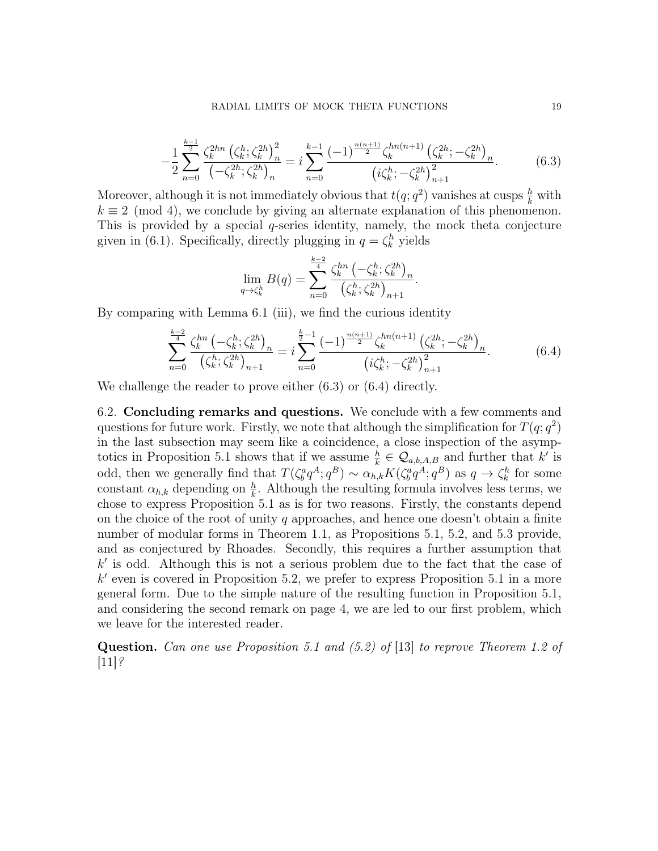$$
-\frac{1}{2}\sum_{n=0}^{\frac{k-1}{2}}\frac{\zeta_k^{2hn}\left(\zeta_k^h;\zeta_k^{2h}\right)_n^2}{\left(-\zeta_k^{2h};\zeta_k^{2h}\right)_n} = i\sum_{n=0}^{k-1}\frac{(-1)^{\frac{n(n+1)}{2}}\zeta_k^{hn(n+1)}\left(\zeta_k^{2h};-\zeta_k^{2h}\right)_n}{\left(i\zeta_k^h;-\zeta_k^{2h}\right)_{n+1}^2}.\tag{6.3}
$$

Moreover, although it is not immediately obvious that  $t(q; q^2)$  vanishes at cusps  $\frac{h}{k}$  with  $k \equiv 2 \pmod{4}$ , we conclude by giving an alternate explanation of this phenomenon. This is provided by a special q-series identity, namely, the mock theta conjecture given in (6.1). Specifically, directly plugging in  $q = \zeta_k^h$  yields

$$
\lim_{q \to \zeta_k^h} B(q) = \sum_{n=0}^{\frac{k-2}{4}} \frac{\zeta_k^{hn} \left( -\zeta_k^h; \zeta_k^{2h} \right)_n}{\left( \zeta_k^h; \zeta_k^{2h} \right)_{n+1}}.
$$

By comparing with Lemma 6.1 (iii), we find the curious identity

$$
\sum_{n=0}^{\frac{k-2}{4}} \frac{\zeta_k^{hn} \left( -\zeta_k^h; \zeta_k^{2h} \right)_n}{\left( \zeta_k^h; \zeta_k^{2h} \right)_{n+1}} = i \sum_{n=0}^{\frac{k}{2}-1} \frac{(-1)^{\frac{n(n+1)}{2}} \zeta_k^{hn(n+1)} \left( \zeta_k^{2h}; -\zeta_k^{2h} \right)_n}{\left( i \zeta_k^h; -\zeta_k^{2h} \right)_{n+1}^2}.
$$
(6.4)

We challenge the reader to prove either  $(6.3)$  or  $(6.4)$  directly.

6.2. Concluding remarks and questions. We conclude with a few comments and questions for future work. Firstly, we note that although the simplification for  $T(q; q^2)$ in the last subsection may seem like a coincidence, a close inspection of the asymptotics in Proposition 5.1 shows that if we assume  $\frac{h}{k} \in \mathcal{Q}_{a,b,A,B}$  and further that k' is odd, then we generally find that  $T(\zeta_b^q q^A; q^B) \sim \alpha_{h,k} K(\zeta_b^q q^A; q^B)$  as  $q \to \zeta_k^h$  for some constant  $\alpha_{h,k}$  depending on  $\frac{h}{k}$ . Although the resulting formula involves less terms, we chose to express Proposition 5.1 as is for two reasons. Firstly, the constants depend on the choice of the root of unity q approaches, and hence one doesn't obtain a finite number of modular forms in Theorem 1.1, as Propositions 5.1, 5.2, and 5.3 provide, and as conjectured by Rhoades. Secondly, this requires a further assumption that  $k'$  is odd. Although this is not a serious problem due to the fact that the case of  $k'$  even is covered in Proposition 5.2, we prefer to express Proposition 5.1 in a more general form. Due to the simple nature of the resulting function in Proposition 5.1, and considering the second remark on page 4, we are led to our first problem, which we leave for the interested reader.

Question. Can one use Proposition 5.1 and (5.2) of [13] to reprove Theorem 1.2 of  $|11|$ ?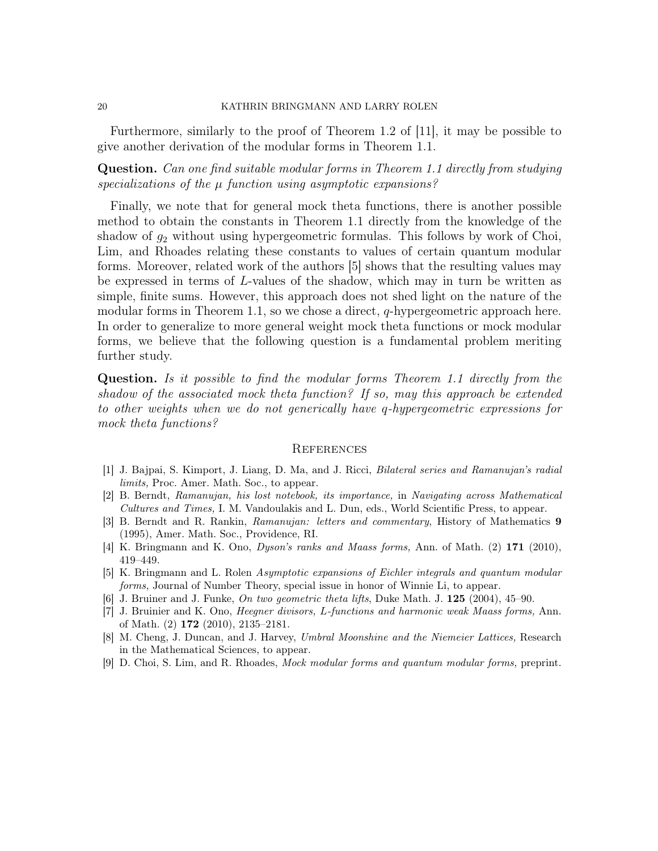Furthermore, similarly to the proof of Theorem 1.2 of [11], it may be possible to give another derivation of the modular forms in Theorem 1.1.

Question. Can one find suitable modular forms in Theorem 1.1 directly from studying specializations of the  $\mu$  function using asymptotic expansions?

Finally, we note that for general mock theta functions, there is another possible method to obtain the constants in Theorem 1.1 directly from the knowledge of the shadow of  $g_2$  without using hypergeometric formulas. This follows by work of Choi, Lim, and Rhoades relating these constants to values of certain quantum modular forms. Moreover, related work of the authors [5] shows that the resulting values may be expressed in terms of L-values of the shadow, which may in turn be written as simple, finite sums. However, this approach does not shed light on the nature of the modular forms in Theorem 1.1, so we chose a direct,  $q$ -hypergeometric approach here. In order to generalize to more general weight mock theta functions or mock modular forms, we believe that the following question is a fundamental problem meriting further study.

Question. Is it possible to find the modular forms Theorem 1.1 directly from the shadow of the associated mock theta function? If so, may this approach be extended to other weights when we do not generically have q-hypergeometric expressions for mock theta functions?

## **REFERENCES**

- [1] J. Bajpai, S. Kimport, J. Liang, D. Ma, and J. Ricci, Bilateral series and Ramanujan's radial limits, Proc. Amer. Math. Soc., to appear.
- [2] B. Berndt, Ramanujan, his lost notebook, its importance, in Navigating across Mathematical Cultures and Times, I. M. Vandoulakis and L. Dun, eds., World Scientific Press, to appear.
- [3] B. Berndt and R. Rankin, Ramanujan: letters and commentary, History of Mathematics 9 (1995), Amer. Math. Soc., Providence, RI.
- [4] K. Bringmann and K. Ono, Dyson's ranks and Maass forms, Ann. of Math. (2) 171 (2010), 419–449.
- [5] K. Bringmann and L. Rolen Asymptotic expansions of Eichler integrals and quantum modular forms, Journal of Number Theory, special issue in honor of Winnie Li, to appear.
- [6] J. Bruiner and J. Funke, On two geometric theta lifts, Duke Math. J.  $125$  (2004), 45–90.
- [7] J. Bruinier and K. Ono, Heegner divisors, L-functions and harmonic weak Maass forms, Ann. of Math. (2) 172 (2010), 2135–2181.
- [8] M. Cheng, J. Duncan, and J. Harvey, Umbral Moonshine and the Niemeier Lattices, Research in the Mathematical Sciences, to appear.
- [9] D. Choi, S. Lim, and R. Rhoades, Mock modular forms and quantum modular forms, preprint.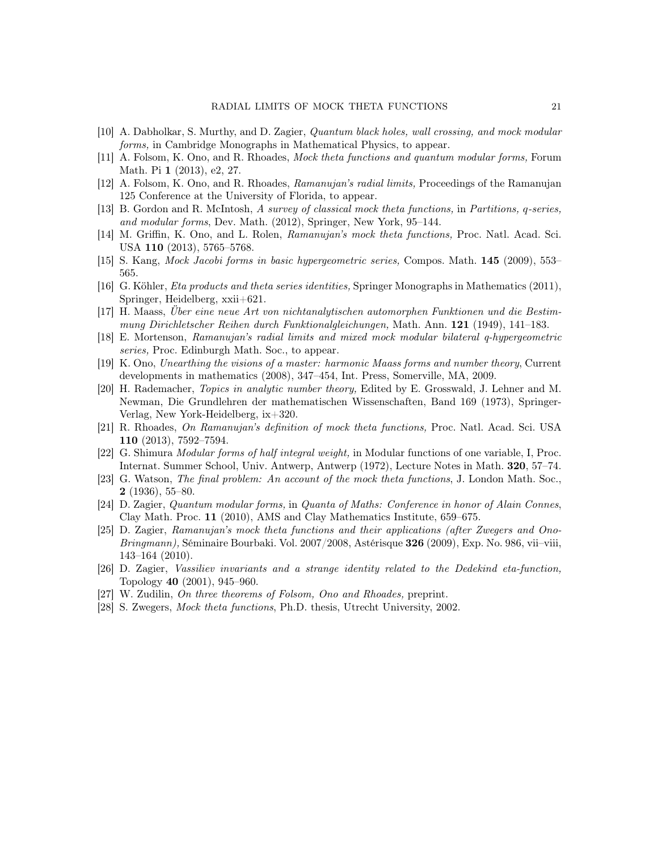- [10] A. Dabholkar, S. Murthy, and D. Zagier, Quantum black holes, wall crossing, and mock modular forms, in Cambridge Monographs in Mathematical Physics, to appear.
- [11] A. Folsom, K. Ono, and R. Rhoades, Mock theta functions and quantum modular forms, Forum Math. Pi 1 (2013), e2, 27.
- [12] A. Folsom, K. Ono, and R. Rhoades, Ramanujan's radial limits, Proceedings of the Ramanujan 125 Conference at the University of Florida, to appear.
- [13] B. Gordon and R. McIntosh, A survey of classical mock theta functions, in Partitions, q-series, and modular forms, Dev. Math. (2012), Springer, New York, 95–144.
- [14] M. Griffin, K. Ono, and L. Rolen, Ramanujan's mock theta functions, Proc. Natl. Acad. Sci. USA 110 (2013), 5765–5768.
- [15] S. Kang, Mock Jacobi forms in basic hypergeometric series, Compos. Math. 145 (2009), 553– 565.
- [16] G. Köhler, Eta products and theta series identities, Springer Monographs in Mathematics (2011), Springer, Heidelberg, xxii+621.
- [17] H. Maass, Über eine neue Art von nichtanalytischen automorphen Funktionen und die Bestimmung Dirichletscher Reihen durch Funktionalgleichungen, Math. Ann. 121 (1949), 141–183.
- [18] E. Mortenson, Ramanujan's radial limits and mixed mock modular bilateral q-hypergeometric series, Proc. Edinburgh Math. Soc., to appear.
- [19] K. Ono, Unearthing the visions of a master: harmonic Maass forms and number theory, Current developments in mathematics (2008), 347–454, Int. Press, Somerville, MA, 2009.
- [20] H. Rademacher, Topics in analytic number theory, Edited by E. Grosswald, J. Lehner and M. Newman, Die Grundlehren der mathematischen Wissenschaften, Band 169 (1973), Springer-Verlag, New York-Heidelberg, ix+320.
- [21] R. Rhoades, On Ramanujan's definition of mock theta functions, Proc. Natl. Acad. Sci. USA 110 (2013), 7592–7594.
- [22] G. Shimura Modular forms of half integral weight, in Modular functions of one variable, I, Proc. Internat. Summer School, Univ. Antwerp, Antwerp (1972), Lecture Notes in Math. 320, 57–74.
- [23] G. Watson, The final problem: An account of the mock theta functions, J. London Math. Soc., 2 (1936), 55–80.
- [24] D. Zagier, Quantum modular forms, in Quanta of Maths: Conference in honor of Alain Connes, Clay Math. Proc. 11 (2010), AMS and Clay Mathematics Institute, 659–675.
- [25] D. Zagier, Ramanujan's mock theta functions and their applications (after Zwegers and Ono- $Bringmann$ , Séminaire Bourbaki. Vol. 2007/2008, Astérisque 326 (2009), Exp. No. 986, vii–viii, 143–164 (2010).
- [26] D. Zagier, Vassiliev invariants and a strange identity related to the Dedekind eta-function, Topology 40 (2001), 945–960.
- [27] W. Zudilin, On three theorems of Folsom, Ono and Rhoades, preprint.
- [28] S. Zwegers, Mock theta functions, Ph.D. thesis, Utrecht University, 2002.